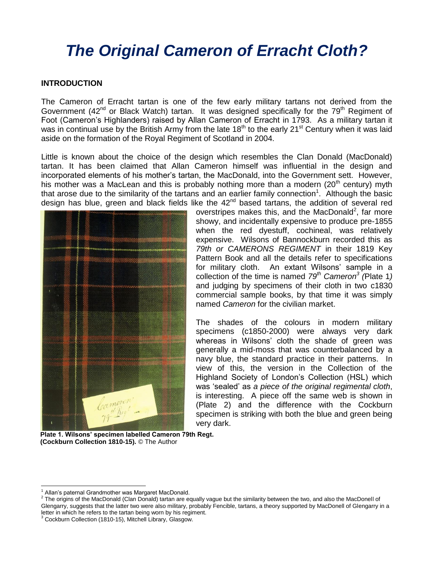# *The Original Cameron of Erracht Cloth?*

#### **INTRODUCTION**

The Cameron of Erracht tartan is one of the few early military tartans not derived from the Government (42<sup>nd</sup> or Black Watch) tartan. It was designed specifically for the 79<sup>th</sup> Regiment of Foot (Cameron's Highlanders) raised by Allan Cameron of Erracht in 1793. As a military tartan it was in continual use by the British Army from the late 18<sup>th</sup> to the early 21<sup>st</sup> Century when it was laid aside on the formation of the Royal Regiment of Scotland in 2004.

Little is known about the choice of the design which resembles the Clan Donald (MacDonald) tartan. It has been claimed that Allan Cameron himself was influential in the design and incorporated elements of his mother's tartan, the MacDonald, into the Government sett. However, his mother was a MacLean and this is probably nothing more than a modern (20<sup>th</sup> century) myth that arose due to the similarity of the tartans and an earlier family connection<sup>1</sup>. Although the basic design has blue, green and black fields like the  $42<sup>nd</sup>$  based tartans, the addition of several red



overstripes makes this, and the MacDonald<sup>2</sup>, far more showy, and incidentally expensive to produce pre-1855 when the red dyestuff, cochineal, was relatively expensive. Wilsons of Bannockburn recorded this as *79th or CAMERONS REGIMENT* in their 1819 Key Pattern Book and all the details refer to specifications for military cloth. An extant Wilsons' sample in a collection of the time is named *79th Cameron<sup>3</sup> (*Plate 1*)* and judging by specimens of their cloth in two c1830 commercial sample books, by that time it was simply named *Cameron* for the civilian market.

The shades of the colours in modern military specimens (c1850-2000) were always very dark whereas in Wilsons' cloth the shade of green was generally a mid-moss that was counterbalanced by a navy blue, the standard practice in their patterns. In view of this, the version in the Collection of the Highland Society of London's Collection (HSL) which was 'sealed' as *a piece of the original regimental cloth*, is interesting. A piece off the same web is shown in (Plate 2) and the difference with the Cockburn specimen is striking with both the blue and green being very dark.

**Plate 1. Wilsons' specimen labelled Cameron 79th Regt. (Cockburn Collection 1810-15).** © The Author

 Allan's paternal Grandmother was Margaret MacDonald.

 $^2$  The origins of the MacDonald (Clan Donald) tartan are equally vague but the similarity between the two, and also the MacDonell of Glengarry, suggests that the latter two were also military, probably Fencible, tartans, a theory supported by MacDonell of Glengarry in a letter in which he refers to the tartan being worn by his regiment.

<sup>3</sup> Cockburn Collection (1810-15), Mitchell Library, Glasgow.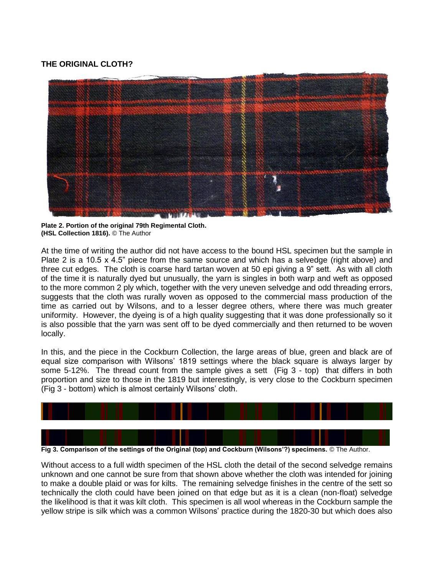# **THE ORIGINAL CLOTH?**



**Plate 2. Portion of the original 79th Regimental Cloth. (HSL Collection 1816).** © The Author

At the time of writing the author did not have access to the bound HSL specimen but the sample in Plate 2 is a 10.5 x 4.5" piece from the same source and which has a selvedge (right above) and three cut edges. The cloth is coarse hard tartan woven at 50 epi giving a 9" sett. As with all cloth of the time it is naturally dyed but unusually, the yarn is singles in both warp and weft as opposed to the more common 2 ply which, together with the very uneven selvedge and odd threading errors, suggests that the cloth was rurally woven as opposed to the commercial mass production of the time as carried out by Wilsons, and to a lesser degree others, where there was much greater uniformity. However, the dyeing is of a high quality suggesting that it was done professionally so it is also possible that the yarn was sent off to be dyed commercially and then returned to be woven locally.

In this, and the piece in the Cockburn Collection, the large areas of blue, green and black are of equal size comparison with Wilsons' 1819 settings where the black square is always larger by some 5-12%. The thread count from the sample gives a sett (Fig 3 - top) that differs in both proportion and size to those in the 1819 but interestingly, is very close to the Cockburn specimen (Fig 3 - bottom) which is almost certainly Wilsons' cloth.



**Fig 3. Comparison of the settings of the Original (top) and Cockburn (Wilsons'?) specimens.** © The Author.

Without access to a full width specimen of the HSL cloth the detail of the second selvedge remains unknown and one cannot be sure from that shown above whether the cloth was intended for joining to make a double plaid or was for kilts. The remaining selvedge finishes in the centre of the sett so technically the cloth could have been joined on that edge but as it is a clean (non-float) selvedge the likelihood is that it was kilt cloth. This specimen is all wool whereas in the Cockburn sample the yellow stripe is silk which was a common Wilsons' practice during the 1820-30 but which does also